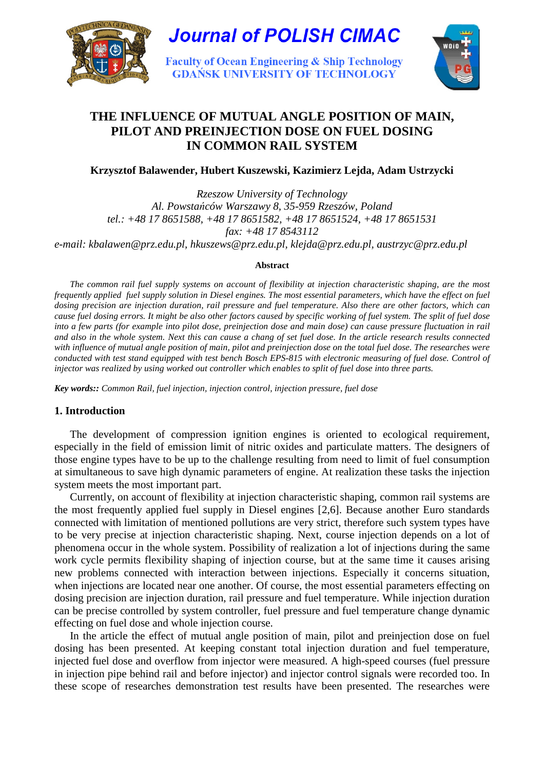



**Faculty of Ocean Engineering & Ship Technology GDANSK UNIVERSITY OF TECHNOLOGY** 



# **THE INFLUENCE OF MUTUAL ANGLE POSITION OF MAIN, PILOT AND PREINJECTION DOSE ON FUEL DOSING IN COMMON RAIL SYSTEM**

**Krzysztof Balawender, Hubert Kuszewski, Kazimierz Lejda, Adam Ustrzycki** 

*Rzeszow University of Technology Al. Powsta*ń*ców Warszawy 8, 35-959 Rzeszów, Poland tel.: +48 17 8651588, +48 17 8651582, +48 17 8651524, +48 17 8651531 fax: +48 17 8543112 e-mail: kbalawen@prz.edu.pl, hkuszews@prz.edu.pl, klejda@prz.edu.pl, austrzyc@prz.edu.pl* 

#### **Abstract**

*The common rail fuel supply systems on account of flexibility at injection characteristic shaping, are the most frequently applied fuel supply solution in Diesel engines. The most essential parameters, which have the effect on fuel dosing precision are injection duration, rail pressure and fuel temperature. Also there are other factors, which can cause fuel dosing errors. It might be also other factors caused by specific working of fuel system. The split of fuel dose into a few parts (for example into pilot dose, preinjection dose and main dose) can cause pressure fluctuation in rail and also in the whole system. Next this can cause a chang of set fuel dose. In the article research results connected with influence of mutual angle position of main, pilot and preinjection dose on the total fuel dose. The researches were*  conducted with test stand equipped with test bench Bosch EPS-815 with electronic measuring of fuel dose. Control of *injector was realized by using worked out controller which enables to split of fuel dose into three parts.* 

*Key words:: Common Rail, fuel injection, injection control, injection pressure, fuel dose* 

## **1. Introduction**

The development of compression ignition engines is oriented to ecological requirement, especially in the field of emission limit of nitric oxides and particulate matters. The designers of those engine types have to be up to the challenge resulting from need to limit of fuel consumption at simultaneous to save high dynamic parameters of engine. At realization these tasks the injection system meets the most important part.

Currently, on account of flexibility at injection characteristic shaping, common rail systems are the most frequently applied fuel supply in Diesel engines [2,6]. Because another Euro standards connected with limitation of mentioned pollutions are very strict, therefore such system types have to be very precise at injection characteristic shaping. Next, course injection depends on a lot of phenomena occur in the whole system. Possibility of realization a lot of injections during the same work cycle permits flexibility shaping of injection course, but at the same time it causes arising new problems connected with interaction between injections. Especially it concerns situation, when injections are located near one another. Of course, the most essential parameters effecting on dosing precision are injection duration, rail pressure and fuel temperature. While injection duration can be precise controlled by system controller, fuel pressure and fuel temperature change dynamic effecting on fuel dose and whole injection course.

In the article the effect of mutual angle position of main, pilot and preinjection dose on fuel dosing has been presented. At keeping constant total injection duration and fuel temperature, injected fuel dose and overflow from injector were measured. A high-speed courses (fuel pressure in injection pipe behind rail and before injector) and injector control signals were recorded too. In these scope of researches demonstration test results have been presented. The researches were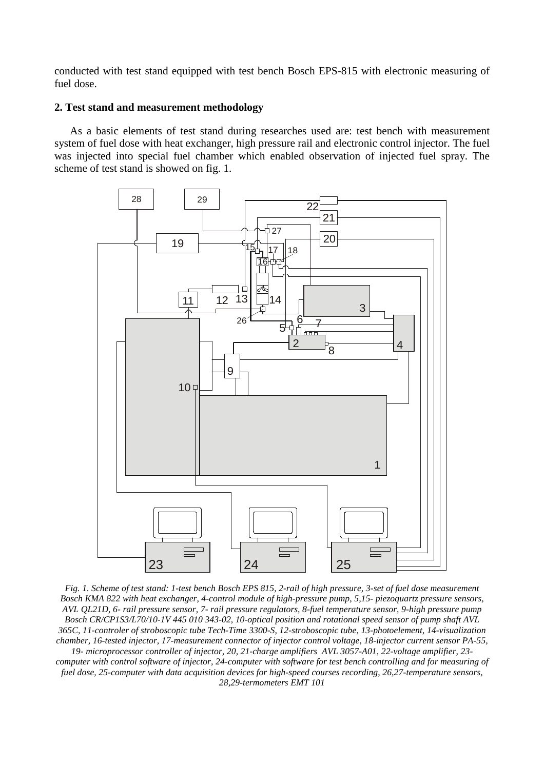conducted with test stand equipped with test bench Bosch EPS-815 with electronic measuring of fuel dose.

## **2. Test stand and measurement methodology**

As a basic elements of test stand during researches used are: test bench with measurement system of fuel dose with heat exchanger, high pressure rail and electronic control injector. The fuel was injected into special fuel chamber which enabled observation of injected fuel spray. The scheme of test stand is showed on fig. 1.



*Fig. 1. Scheme of test stand: 1-test bench Bosch EPS 815, 2-rail of high pressure, 3-set of fuel dose measurement Bosch KMA 822 with heat exchanger, 4-control module of high-pressure pump, 5,15- piezoquartz pressure sensors, AVL QL21D, 6- rail pressure sensor, 7- rail pressure regulators, 8-fuel temperature sensor, 9-high pressure pump Bosch CR/CP1S3/L70/10-1V 445 010 343-02, 10-optical position and rotational speed sensor of pump shaft AVL 365C, 11-controler of stroboscopic tube Tech-Time 3300-S, 12-stroboscopic tube, 13-photoelement, 14-visualization chamber, 16-tested injector, 17-measurement connector of injector control voltage, 18-injector current sensor PA-55, 19- microprocessor controller of injector, 20, 21-charge amplifiers AVL 3057-A01, 22-voltage amplifier, 23 computer with control software of injector, 24-computer with software for test bench controlling and for measuring of fuel dose, 25-computer with data acquisition devices for high-speed courses recording, 26,27-temperature sensors, 28,29-termometers EMT 101*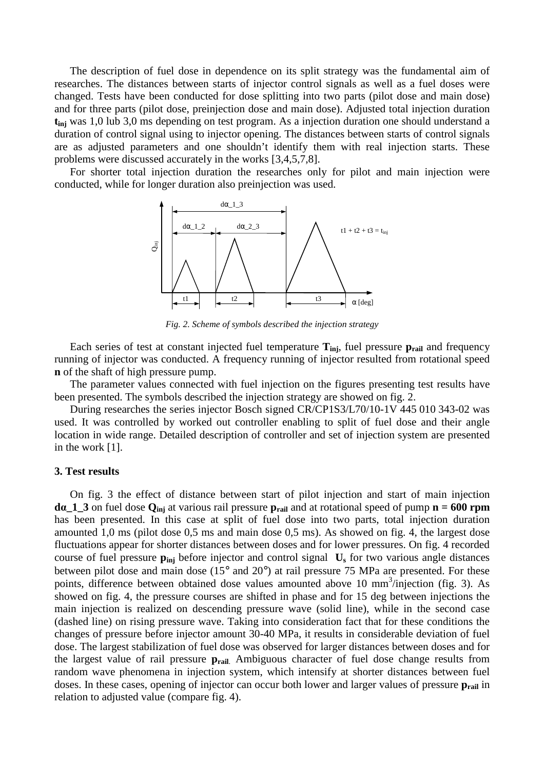The description of fuel dose in dependence on its split strategy was the fundamental aim of researches. The distances between starts of injector control signals as well as a fuel doses were changed. Tests have been conducted for dose splitting into two parts (pilot dose and main dose) and for three parts (pilot dose, preinjection dose and main dose). Adjusted total injection duration **tinj** was 1,0 lub 3,0 ms depending on test program. As a injection duration one should understand a duration of control signal using to injector opening. The distances between starts of control signals are as adjusted parameters and one shouldn't identify them with real injection starts. These problems were discussed accurately in the works [3,4,5,7,8].

For shorter total injection duration the researches only for pilot and main injection were conducted, while for longer duration also preinjection was used.



*Fig. 2. Scheme of symbols described the injection strategy* 

Each series of test at constant injected fuel temperature  $T_{ini}$ , fuel pressure  $p_{rail}$  and frequency running of injector was conducted. A frequency running of injector resulted from rotational speed **n** of the shaft of high pressure pump.

The parameter values connected with fuel injection on the figures presenting test results have been presented. The symbols described the injection strategy are showed on fig. 2.

During researches the series injector Bosch signed CR/CP1S3/L70/10-1V 445 010 343-02 was used. It was controlled by worked out controller enabling to split of fuel dose and their angle location in wide range. Detailed description of controller and set of injection system are presented in the work [1].

#### **3. Test results**

On fig. 3 the effect of distance between start of pilot injection and start of main injection **d**α**\_1\_3** on fuel dose **Qinj** at various rail pressure **prail** and at rotational speed of pump **n = 600 rpm** has been presented. In this case at split of fuel dose into two parts, total injection duration amounted 1,0 ms (pilot dose 0,5 ms and main dose 0,5 ms). As showed on fig. 4, the largest dose fluctuations appear for shorter distances between doses and for lower pressures. On fig. 4 recorded course of fuel pressure **pinj** before injector and control signal **Us** for two various angle distances between pilot dose and main dose (15° and 20°) at rail pressure 75 MPa are presented. For these points, difference between obtained dose values amounted above 10 mm<sup>3</sup>/injection (fig. 3). As showed on fig. 4, the pressure courses are shifted in phase and for 15 deg between injections the main injection is realized on descending pressure wave (solid line), while in the second case (dashed line) on rising pressure wave. Taking into consideration fact that for these conditions the changes of pressure before injector amount 30-40 MPa, it results in considerable deviation of fuel dose. The largest stabilization of fuel dose was observed for larger distances between doses and for the largest value of rail pressure **prail**. Ambiguous character of fuel dose change results from random wave phenomena in injection system, which intensify at shorter distances between fuel doses. In these cases, opening of injector can occur both lower and larger values of pressure  $p_{\text{tail}}$  in relation to adjusted value (compare fig. 4).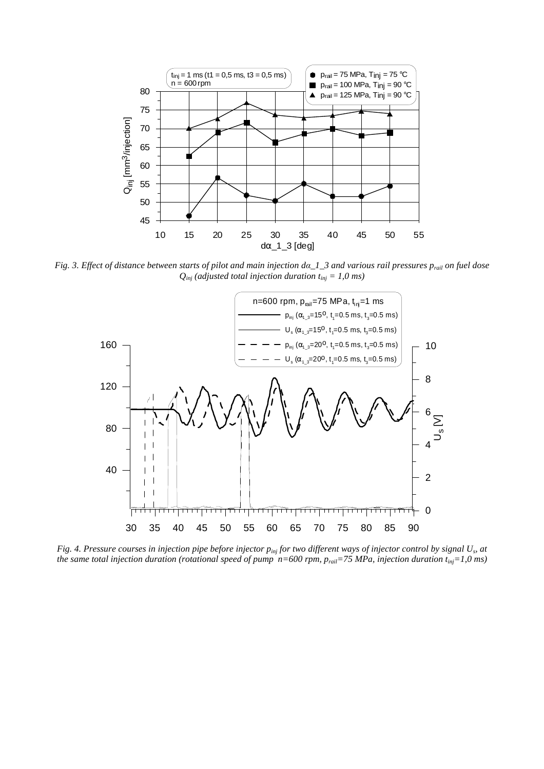

*Fig. 3. Effect of distance between starts of pilot and main injection d*α*\_1\_3 and various rail pressures prail on fuel dose*   $Q_{ini}$  (adjusted total injection duration  $t_{ini} = 1.0$  ms)



*Fig. 4. Pressure courses in injection pipe before injector pinj for two different ways of injector control by signal U<sup>s</sup> , at the same total injection duration (rotational speed of pump*  $n=600$  *rpm,*  $p_{\text{real}}=75$  *MPa, injection duration*  $t_{\text{inj}}=1,0$  *ms)*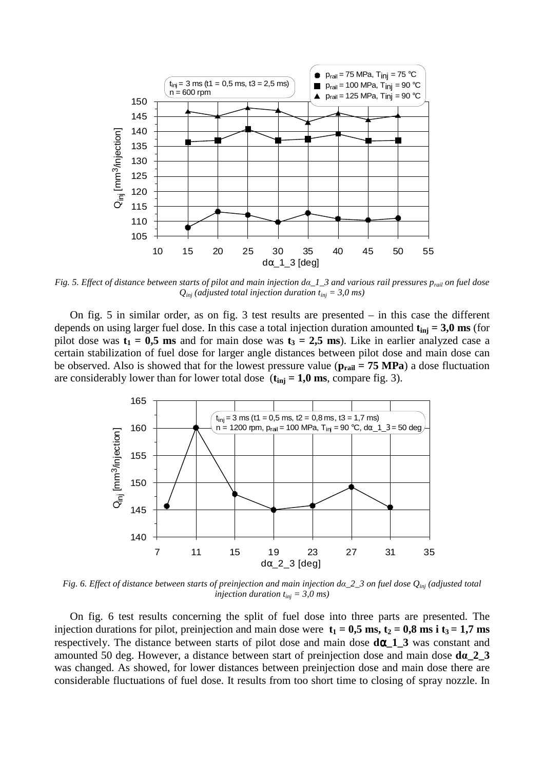

*Fig. 5. Effect of distance between starts of pilot and main injection d*α*\_1\_3 and various rail pressures prail on fuel dose*   $Q_{\text{inj}}$  (adjusted total injection duration  $t_{\text{inj}} = 3.0 \text{ ms}$ )

On fig. 5 in similar order, as on fig. 3 test results are presented – in this case the different depends on using larger fuel dose. In this case a total injection duration amounted  $t_{\text{ini}} = 3.0 \text{ ms}$  (for pilot dose was  $t_1 = 0.5$  ms and for main dose was  $t_3 = 2.5$  ms). Like in earlier analyzed case a certain stabilization of fuel dose for larger angle distances between pilot dose and main dose can be observed. Also is showed that for the lowest pressure value ( $p_{\text{real}} = 75 \text{ MPa}$ ) a dose fluctuation are considerably lower than for lower total dose  $(t_{\text{inj}} = 1,0 \text{ ms})$ , compare fig. 3).



*Fig. 6. Effect of distance between starts of preinjection and main injection d*α*\_2\_3 on fuel dose Qinj (adjusted total injection duration tinj = 3,0 ms)* 

On fig. 6 test results concerning the split of fuel dose into three parts are presented. The injection durations for pilot, preinjection and main dose were  $t_1 = 0.5$  ms,  $t_2 = 0.8$  ms i  $t_3 = 1.7$  ms respectively. The distance between starts of pilot dose and main dose **d**α**\_1\_3** was constant and amounted 50 deg. However, a distance between start of preinjection dose and main dose **d**α**\_2\_3**  was changed. As showed, for lower distances between preinjection dose and main dose there are considerable fluctuations of fuel dose. It results from too short time to closing of spray nozzle. In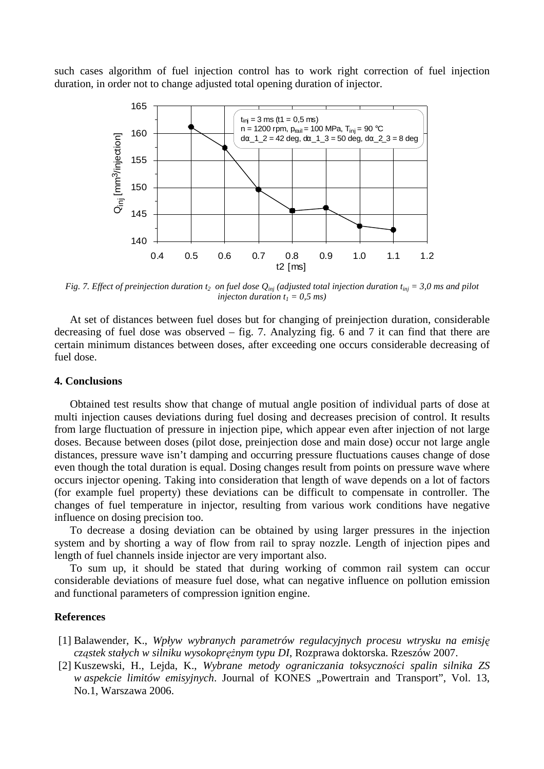such cases algorithm of fuel injection control has to work right correction of fuel injection duration, in order not to change adjusted total opening duration of injector.



*Fig. 7. Effect of preinjection duration*  $t_2$  *on fuel dose*  $Q_{ini}$  *(adjusted total injection duration*  $t_{ini} = 3.0$  *ms and pilot injecton duration*  $t_1 = 0.5$  *ms*)

At set of distances between fuel doses but for changing of preinjection duration, considerable decreasing of fuel dose was observed – fig. 7. Analyzing fig. 6 and 7 it can find that there are certain minimum distances between doses, after exceeding one occurs considerable decreasing of fuel dose.

### **4. Conclusions**

Obtained test results show that change of mutual angle position of individual parts of dose at multi injection causes deviations during fuel dosing and decreases precision of control. It results from large fluctuation of pressure in injection pipe, which appear even after injection of not large doses. Because between doses (pilot dose, preinjection dose and main dose) occur not large angle distances, pressure wave isn't damping and occurring pressure fluctuations causes change of dose even though the total duration is equal. Dosing changes result from points on pressure wave where occurs injector opening. Taking into consideration that length of wave depends on a lot of factors (for example fuel property) these deviations can be difficult to compensate in controller. The changes of fuel temperature in injector, resulting from various work conditions have negative influence on dosing precision too.

To decrease a dosing deviation can be obtained by using larger pressures in the injection system and by shorting a way of flow from rail to spray nozzle. Length of injection pipes and length of fuel channels inside injector are very important also.

To sum up, it should be stated that during working of common rail system can occur considerable deviations of measure fuel dose, what can negative influence on pollution emission and functional parameters of compression ignition engine.

#### **References**

- [1] Balawender, K., *Wpływ wybranych parametrów regulacyjnych procesu wtrysku na emisj*ę *cząstek stałych w silniku wysokoprężnym typu DI*, Rozprawa doktorska. Rzeszów 2007.
- [2] Kuszewski, H., Lejda, K., *Wybrane metody ograniczania toksyczno*ś*ci spalin silnika ZS w aspekcie limitów emisyjnych*. Journal of KONES "Powertrain and Transport", Vol. 13, No.1, Warszawa 2006.